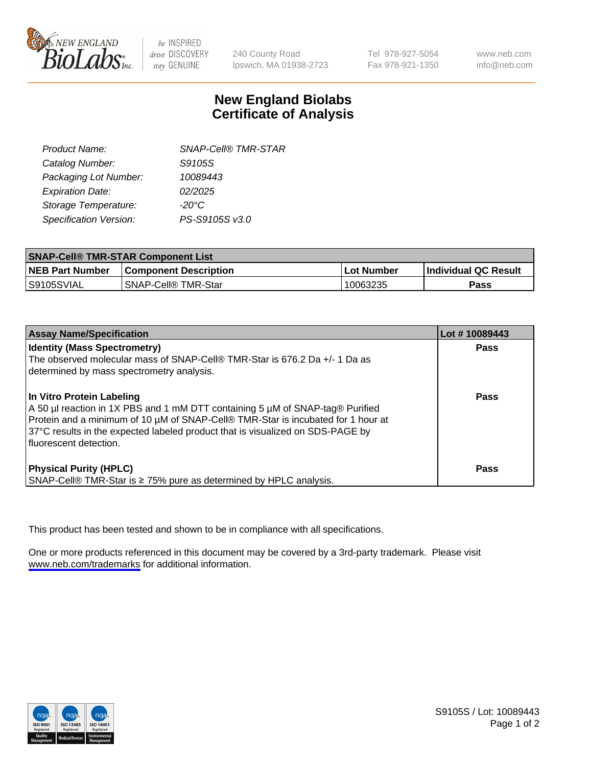

be INSPIRED drive DISCOVERY stay GENUINE

240 County Road Ipswich, MA 01938-2723 Tel 978-927-5054 Fax 978-921-1350

www.neb.com info@neb.com

## **New England Biolabs Certificate of Analysis**

| <b>SNAP-Cell® TMR-STAR</b> |
|----------------------------|
| S9105S                     |
| 10089443                   |
| 02/2025                    |
| $-20^{\circ}$ C            |
| PS-S9105S v3.0             |
|                            |

| <b>SNAP-Cell® TMR-STAR Component List</b> |                                       |             |                             |  |
|-------------------------------------------|---------------------------------------|-------------|-----------------------------|--|
| <b>NEB Part Number</b>                    | <b>Component Description</b>          | ⊺Lot Number | <b>Individual QC Result</b> |  |
| S9105SVIAL                                | <b>SNAP-Cell<sup>®</sup> TMR-Star</b> | 10063235    | Pass                        |  |

| <b>Assay Name/Specification</b>                                                                                                                                                                                                                                                                              | Lot #10089443 |
|--------------------------------------------------------------------------------------------------------------------------------------------------------------------------------------------------------------------------------------------------------------------------------------------------------------|---------------|
| <b>Identity (Mass Spectrometry)</b><br>The observed molecular mass of SNAP-Cell® TMR-Star is 676.2 Da +/- 1 Da as<br>determined by mass spectrometry analysis.                                                                                                                                               | <b>Pass</b>   |
| In Vitro Protein Labeling<br>A 50 µl reaction in 1X PBS and 1 mM DTT containing 5 µM of SNAP-tag® Purified<br>Protein and a minimum of 10 µM of SNAP-Cell® TMR-Star is incubated for 1 hour at<br>37°C results in the expected labeled product that is visualized on SDS-PAGE by<br>l fluorescent detection. | <b>Pass</b>   |
| <b>Physical Purity (HPLC)</b><br>SNAP-Cell® TMR-Star is ≥ 75% pure as determined by HPLC analysis.                                                                                                                                                                                                           | Pass          |

This product has been tested and shown to be in compliance with all specifications.

One or more products referenced in this document may be covered by a 3rd-party trademark. Please visit <www.neb.com/trademarks>for additional information.